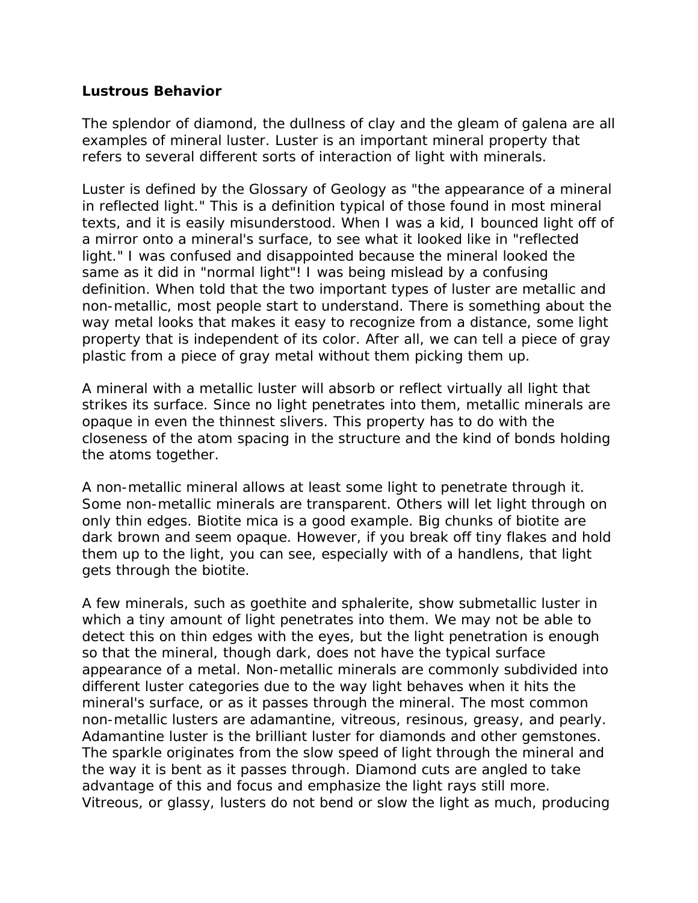## **Lustrous Behavior**

The splendor of diamond, the dullness of clay and the gleam of galena are all examples of mineral luster. Luster is an important mineral property that refers to several different sorts of interaction of light with minerals.

Luster is defined by the *Glossary of Geology* as "the appearance of a mineral in reflected light." This is a definition typical of those found in most mineral texts, and it is easily misunderstood. When I was a kid, I bounced light off of a mirror onto a mineral's surface, to see what it looked like in "reflected light." I was confused and disappointed because the mineral looked the same as it did in "normal light"! I was being mislead by a confusing definition. When told that the two important types of luster are metallic and non-metallic, most people start to understand. There is something about the way metal looks that makes it easy to recognize from a distance, some light property that is independent of its color. After all, we can tell a piece of gray plastic from a piece of gray metal without them picking them up.

A mineral with a metallic luster will absorb or reflect virtually all light that strikes its surface. Since no light penetrates into them, metallic minerals are opaque in even the thinnest slivers. This property has to do with the closeness of the atom spacing in the structure and the kind of bonds holding the atoms together.

A non-metallic mineral allows at least some light to penetrate through it. Some non-metallic minerals are transparent. Others will let light through on only thin edges. Biotite mica is a good example. Big chunks of biotite are dark brown and seem opaque. However, if you break off tiny flakes and hold them up to the light, you can see, especially with of a handlens, that light gets through the biotite.

A few minerals, such as goethite and sphalerite, show submetallic luster in which a tiny amount of light penetrates into them. We may not be able to detect this on thin edges with the eyes, but the light penetration is enough so that the mineral, though dark, does not have the typical surface appearance of a metal. Non-metallic minerals are commonly subdivided into different luster categories due to the way light behaves when it hits the mineral's surface, or as it passes through the mineral. The most common non-metallic lusters are adamantine, vitreous, resinous, greasy, and pearly. Adamantine luster is the brilliant luster for diamonds and other gemstones. The sparkle originates from the slow speed of light through the mineral and the way it is bent as it passes through. Diamond cuts are angled to take advantage of this and focus and emphasize the light rays still more. Vitreous, or glassy, lusters do not bend or slow the light as much, producing